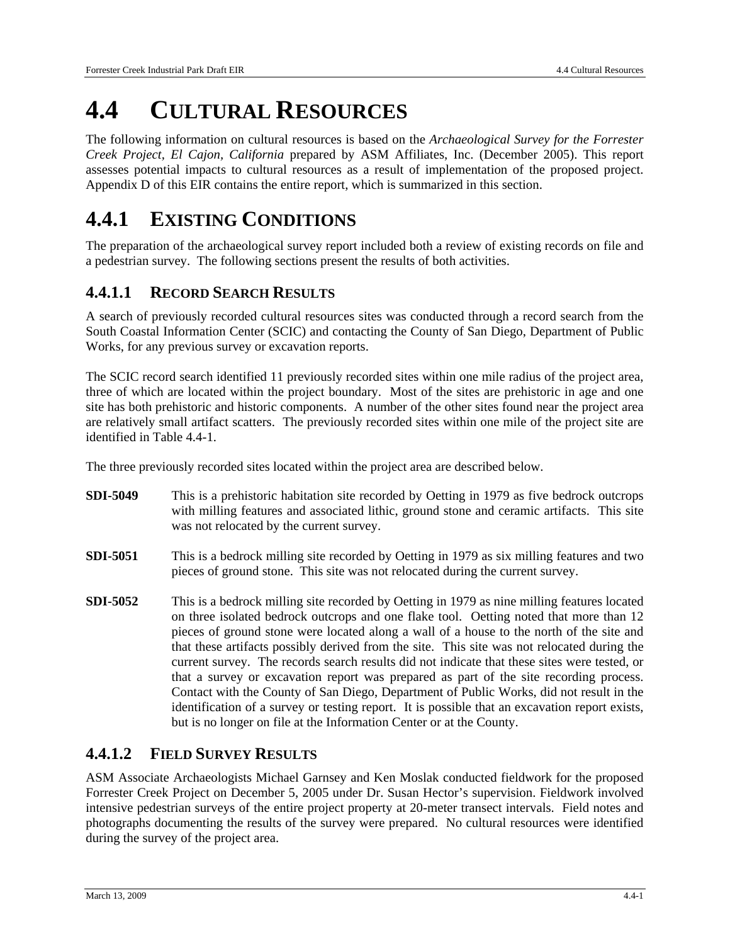# **4.4 CULTURAL RESOURCES**

The following information on cultural resources is based on the *Archaeological Survey for the Forrester Creek Project, El Cajon, California* prepared by ASM Affiliates, Inc. (December 2005). This report assesses potential impacts to cultural resources as a result of implementation of the proposed project. Appendix D of this EIR contains the entire report, which is summarized in this section.

# **4.4.1 EXISTING CONDITIONS**

The preparation of the archaeological survey report included both a review of existing records on file and a pedestrian survey. The following sections present the results of both activities.

# **4.4.1.1 RECORD SEARCH RESULTS**

A search of previously recorded cultural resources sites was conducted through a record search from the South Coastal Information Center (SCIC) and contacting the County of San Diego, Department of Public Works, for any previous survey or excavation reports.

The SCIC record search identified 11 previously recorded sites within one mile radius of the project area, three of which are located within the project boundary. Most of the sites are prehistoric in age and one site has both prehistoric and historic components. A number of the other sites found near the project area are relatively small artifact scatters. The previously recorded sites within one mile of the project site are identified in Table 4.4-1.

The three previously recorded sites located within the project area are described below.

- **SDI-5049** This is a prehistoric habitation site recorded by Oetting in 1979 as five bedrock outcrops with milling features and associated lithic, ground stone and ceramic artifacts. This site was not relocated by the current survey.
- **SDI-5051** This is a bedrock milling site recorded by Oetting in 1979 as six milling features and two pieces of ground stone. This site was not relocated during the current survey.
- **SDI-5052** This is a bedrock milling site recorded by Oetting in 1979 as nine milling features located on three isolated bedrock outcrops and one flake tool. Oetting noted that more than 12 pieces of ground stone were located along a wall of a house to the north of the site and that these artifacts possibly derived from the site. This site was not relocated during the current survey. The records search results did not indicate that these sites were tested, or that a survey or excavation report was prepared as part of the site recording process. Contact with the County of San Diego, Department of Public Works, did not result in the identification of a survey or testing report. It is possible that an excavation report exists, but is no longer on file at the Information Center or at the County.

#### **4.4.1.2 FIELD SURVEY RESULTS**

ASM Associate Archaeologists Michael Garnsey and Ken Moslak conducted fieldwork for the proposed Forrester Creek Project on December 5, 2005 under Dr. Susan Hector's supervision. Fieldwork involved intensive pedestrian surveys of the entire project property at 20-meter transect intervals. Field notes and photographs documenting the results of the survey were prepared. No cultural resources were identified during the survey of the project area.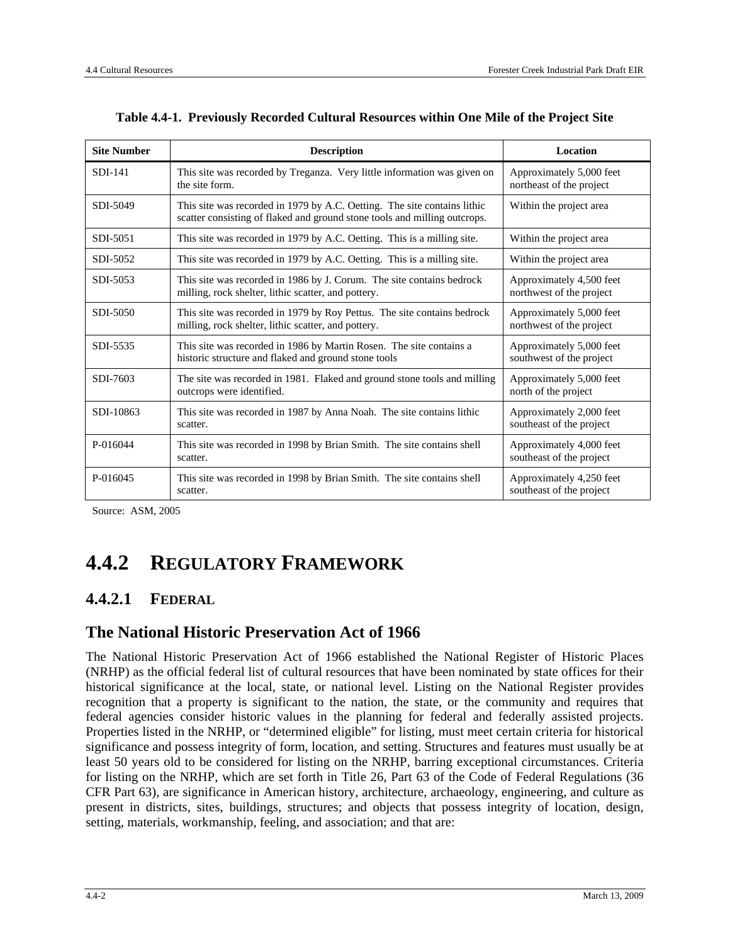| <b>Site Number</b> | <b>Description</b>                                                                                                                                    | <b>Location</b>                                      |  |  |
|--------------------|-------------------------------------------------------------------------------------------------------------------------------------------------------|------------------------------------------------------|--|--|
| $SDI-141$          | This site was recorded by Treganza. Very little information was given on<br>the site form.                                                            | Approximately 5,000 feet<br>northeast of the project |  |  |
| SDI-5049           | This site was recorded in 1979 by A.C. Oetting. The site contains lithic<br>scatter consisting of flaked and ground stone tools and milling outcrops. | Within the project area                              |  |  |
| SDI-5051           | This site was recorded in 1979 by A.C. Oetting. This is a milling site.                                                                               | Within the project area                              |  |  |
| SDI-5052           | This site was recorded in 1979 by A.C. Oetting. This is a milling site.                                                                               | Within the project area                              |  |  |
| SDI-5053           | This site was recorded in 1986 by J. Corum. The site contains bedrock<br>milling, rock shelter, lithic scatter, and pottery.                          | Approximately 4,500 feet<br>northwest of the project |  |  |
| SDI-5050           | This site was recorded in 1979 by Roy Pettus. The site contains bedrock<br>milling, rock shelter, lithic scatter, and pottery.                        | Approximately 5,000 feet<br>northwest of the project |  |  |
| SDI-5535           | This site was recorded in 1986 by Martin Rosen. The site contains a<br>historic structure and flaked and ground stone tools                           | Approximately 5,000 feet<br>southwest of the project |  |  |
| SDI-7603           | The site was recorded in 1981. Flaked and ground stone tools and milling<br>outcrops were identified.                                                 | Approximately 5,000 feet<br>north of the project     |  |  |
| SDI-10863          | This site was recorded in 1987 by Anna Noah. The site contains lithic<br>scatter.                                                                     | Approximately 2,000 feet<br>southeast of the project |  |  |
| P-016044           | This site was recorded in 1998 by Brian Smith. The site contains shell<br>scatter.                                                                    | Approximately 4,000 feet<br>southeast of the project |  |  |
| P-016045           | This site was recorded in 1998 by Brian Smith. The site contains shell<br>scatter.                                                                    | Approximately 4,250 feet<br>southeast of the project |  |  |

| Table 4.4-1. Previously Recorded Cultural Resources within One Mile of the Project Site |  |  |  |  |  |  |  |  |
|-----------------------------------------------------------------------------------------|--|--|--|--|--|--|--|--|
|-----------------------------------------------------------------------------------------|--|--|--|--|--|--|--|--|

Source: ASM, 2005

# **4.4.2 REGULATORY FRAMEWORK**

# **4.4.2.1 FEDERAL**

#### **The National Historic Preservation Act of 1966**

The National Historic Preservation Act of 1966 established the National Register of Historic Places (NRHP) as the official federal list of cultural resources that have been nominated by state offices for their historical significance at the local, state, or national level. Listing on the National Register provides recognition that a property is significant to the nation, the state, or the community and requires that federal agencies consider historic values in the planning for federal and federally assisted projects. Properties listed in the NRHP, or "determined eligible" for listing, must meet certain criteria for historical significance and possess integrity of form, location, and setting. Structures and features must usually be at least 50 years old to be considered for listing on the NRHP, barring exceptional circumstances. Criteria for listing on the NRHP, which are set forth in Title 26, Part 63 of the Code of Federal Regulations (36 CFR Part 63), are significance in American history, architecture, archaeology, engineering, and culture as present in districts, sites, buildings, structures; and objects that possess integrity of location, design, setting, materials, workmanship, feeling, and association; and that are: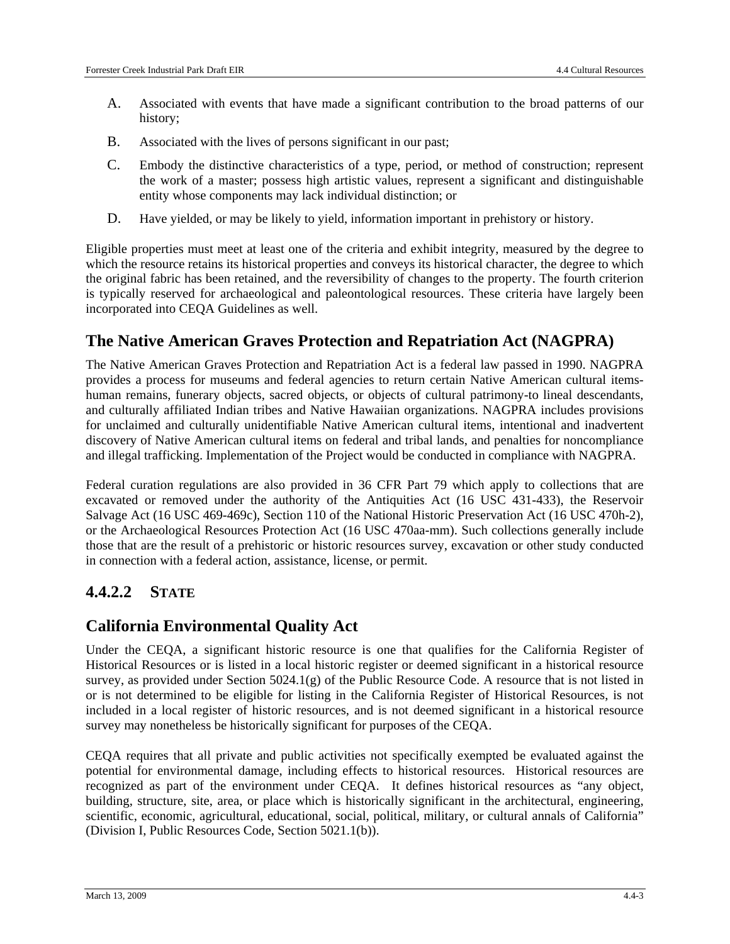- A. Associated with events that have made a significant contribution to the broad patterns of our history;
- B. Associated with the lives of persons significant in our past;
- C. Embody the distinctive characteristics of a type, period, or method of construction; represent the work of a master; possess high artistic values, represent a significant and distinguishable entity whose components may lack individual distinction; or
- D. Have yielded, or may be likely to yield, information important in prehistory or history.

Eligible properties must meet at least one of the criteria and exhibit integrity, measured by the degree to which the resource retains its historical properties and conveys its historical character, the degree to which the original fabric has been retained, and the reversibility of changes to the property. The fourth criterion is typically reserved for archaeological and paleontological resources. These criteria have largely been incorporated into CEQA Guidelines as well.

### **The Native American Graves Protection and Repatriation Act (NAGPRA)**

The Native American Graves Protection and Repatriation Act is a federal law passed in 1990. NAGPRA provides a process for museums and federal agencies to return certain Native American cultural itemshuman remains, funerary objects, sacred objects, or objects of cultural patrimony-to lineal descendants, and culturally affiliated Indian tribes and Native Hawaiian organizations. NAGPRA includes provisions for unclaimed and culturally unidentifiable Native American cultural items, intentional and inadvertent discovery of Native American cultural items on federal and tribal lands, and penalties for noncompliance and illegal trafficking. Implementation of the Project would be conducted in compliance with NAGPRA.

Federal curation regulations are also provided in 36 CFR Part 79 which apply to collections that are excavated or removed under the authority of the Antiquities Act (16 USC 431-433), the Reservoir Salvage Act (16 USC 469-469c), Section 110 of the National Historic Preservation Act (16 USC 470h-2), or the Archaeological Resources Protection Act (16 USC 470aa-mm). Such collections generally include those that are the result of a prehistoric or historic resources survey, excavation or other study conducted in connection with a federal action, assistance, license, or permit.

# **4.4.2.2 STATE**

# **California Environmental Quality Act**

Under the CEQA, a significant historic resource is one that qualifies for the California Register of Historical Resources or is listed in a local historic register or deemed significant in a historical resource survey, as provided under Section 5024.1(g) of the Public Resource Code. A resource that is not listed in or is not determined to be eligible for listing in the California Register of Historical Resources, is not included in a local register of historic resources, and is not deemed significant in a historical resource survey may nonetheless be historically significant for purposes of the CEQA.

CEQA requires that all private and public activities not specifically exempted be evaluated against the potential for environmental damage, including effects to historical resources. Historical resources are recognized as part of the environment under CEQA. It defines historical resources as "any object, building, structure, site, area, or place which is historically significant in the architectural, engineering, scientific, economic, agricultural, educational, social, political, military, or cultural annals of California" (Division I, Public Resources Code, Section 5021.1(b)).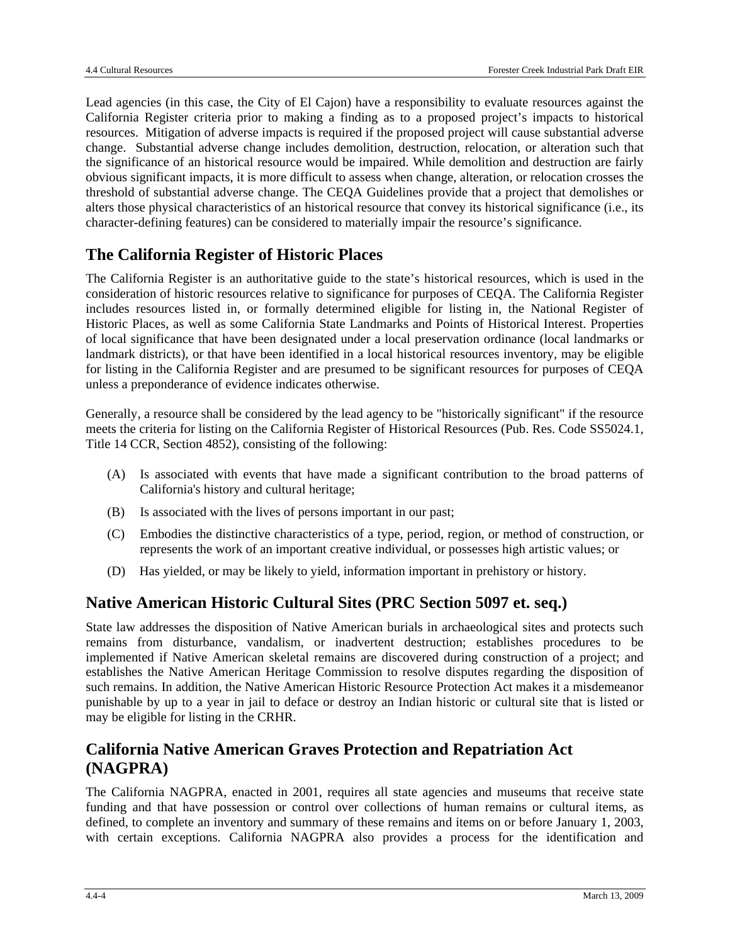Lead agencies (in this case, the City of El Cajon) have a responsibility to evaluate resources against the California Register criteria prior to making a finding as to a proposed project's impacts to historical resources. Mitigation of adverse impacts is required if the proposed project will cause substantial adverse change. Substantial adverse change includes demolition, destruction, relocation, or alteration such that the significance of an historical resource would be impaired. While demolition and destruction are fairly obvious significant impacts, it is more difficult to assess when change, alteration, or relocation crosses the threshold of substantial adverse change. The CEQA Guidelines provide that a project that demolishes or alters those physical characteristics of an historical resource that convey its historical significance (i.e., its character-defining features) can be considered to materially impair the resource's significance.

# **The California Register of Historic Places**

The California Register is an authoritative guide to the state's historical resources, which is used in the consideration of historic resources relative to significance for purposes of CEQA. The California Register includes resources listed in, or formally determined eligible for listing in, the National Register of Historic Places, as well as some California State Landmarks and Points of Historical Interest. Properties of local significance that have been designated under a local preservation ordinance (local landmarks or landmark districts), or that have been identified in a local historical resources inventory, may be eligible for listing in the California Register and are presumed to be significant resources for purposes of CEQA unless a preponderance of evidence indicates otherwise.

Generally, a resource shall be considered by the lead agency to be "historically significant" if the resource meets the criteria for listing on the California Register of Historical Resources (Pub. Res. Code SS5024.1, Title 14 CCR, Section 4852), consisting of the following:

- (A) Is associated with events that have made a significant contribution to the broad patterns of California's history and cultural heritage;
- (B) Is associated with the lives of persons important in our past;
- (C) Embodies the distinctive characteristics of a type, period, region, or method of construction, or represents the work of an important creative individual, or possesses high artistic values; or
- (D) Has yielded, or may be likely to yield, information important in prehistory or history.

#### **Native American Historic Cultural Sites (PRC Section 5097 et. seq.)**

State law addresses the disposition of Native American burials in archaeological sites and protects such remains from disturbance, vandalism, or inadvertent destruction; establishes procedures to be implemented if Native American skeletal remains are discovered during construction of a project; and establishes the Native American Heritage Commission to resolve disputes regarding the disposition of such remains. In addition, the Native American Historic Resource Protection Act makes it a misdemeanor punishable by up to a year in jail to deface or destroy an Indian historic or cultural site that is listed or may be eligible for listing in the CRHR.

# **California Native American Graves Protection and Repatriation Act (NAGPRA)**

The California NAGPRA, enacted in 2001, requires all state agencies and museums that receive state funding and that have possession or control over collections of human remains or cultural items, as defined, to complete an inventory and summary of these remains and items on or before January 1, 2003, with certain exceptions. California NAGPRA also provides a process for the identification and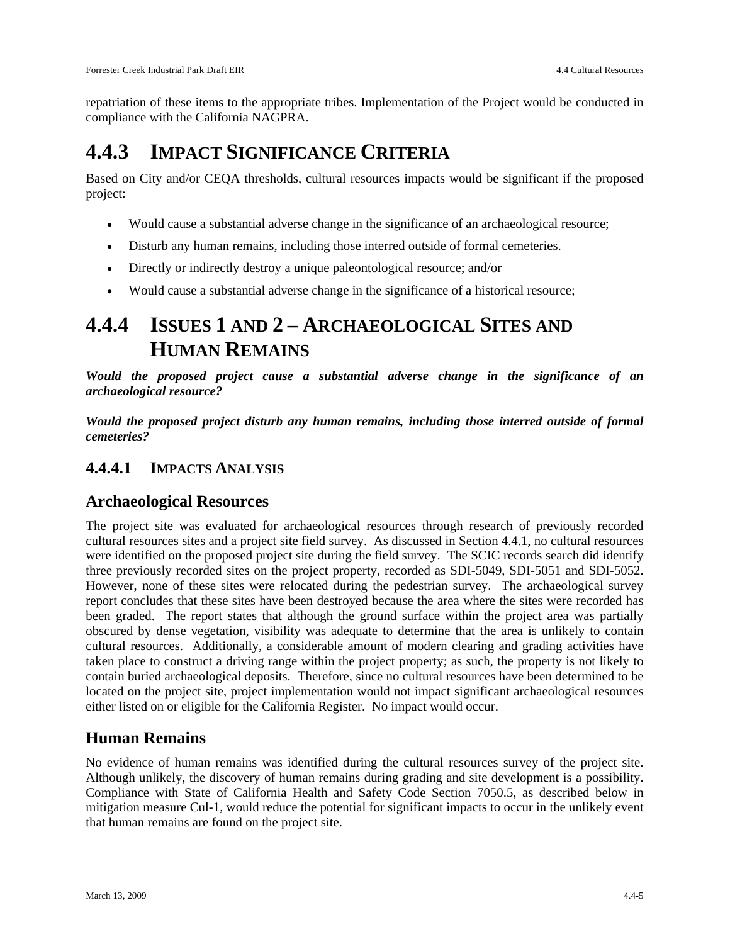repatriation of these items to the appropriate tribes. Implementation of the Project would be conducted in compliance with the California NAGPRA.

# **4.4.3 IMPACT SIGNIFICANCE CRITERIA**

Based on City and/or CEQA thresholds, cultural resources impacts would be significant if the proposed project:

- Would cause a substantial adverse change in the significance of an archaeological resource;
- Disturb any human remains, including those interred outside of formal cemeteries.
- Directly or indirectly destroy a unique paleontological resource; and/or
- Would cause a substantial adverse change in the significance of a historical resource;

# **4.4.4 ISSUES 1 AND 2 – ARCHAEOLOGICAL SITES AND HUMAN REMAINS**

*Would the proposed project cause a substantial adverse change in the significance of an archaeological resource?* 

*Would the proposed project disturb any human remains, including those interred outside of formal cemeteries?* 

# **4.4.4.1 IMPACTS ANALYSIS**

#### **Archaeological Resources**

The project site was evaluated for archaeological resources through research of previously recorded cultural resources sites and a project site field survey. As discussed in Section 4.4.1, no cultural resources were identified on the proposed project site during the field survey. The SCIC records search did identify three previously recorded sites on the project property, recorded as SDI-5049, SDI-5051 and SDI-5052. However, none of these sites were relocated during the pedestrian survey. The archaeological survey report concludes that these sites have been destroyed because the area where the sites were recorded has been graded. The report states that although the ground surface within the project area was partially obscured by dense vegetation, visibility was adequate to determine that the area is unlikely to contain cultural resources. Additionally, a considerable amount of modern clearing and grading activities have taken place to construct a driving range within the project property; as such, the property is not likely to contain buried archaeological deposits. Therefore, since no cultural resources have been determined to be located on the project site, project implementation would not impact significant archaeological resources either listed on or eligible for the California Register. No impact would occur.

# **Human Remains**

No evidence of human remains was identified during the cultural resources survey of the project site. Although unlikely, the discovery of human remains during grading and site development is a possibility. Compliance with State of California Health and Safety Code Section 7050.5, as described below in mitigation measure Cul-1, would reduce the potential for significant impacts to occur in the unlikely event that human remains are found on the project site.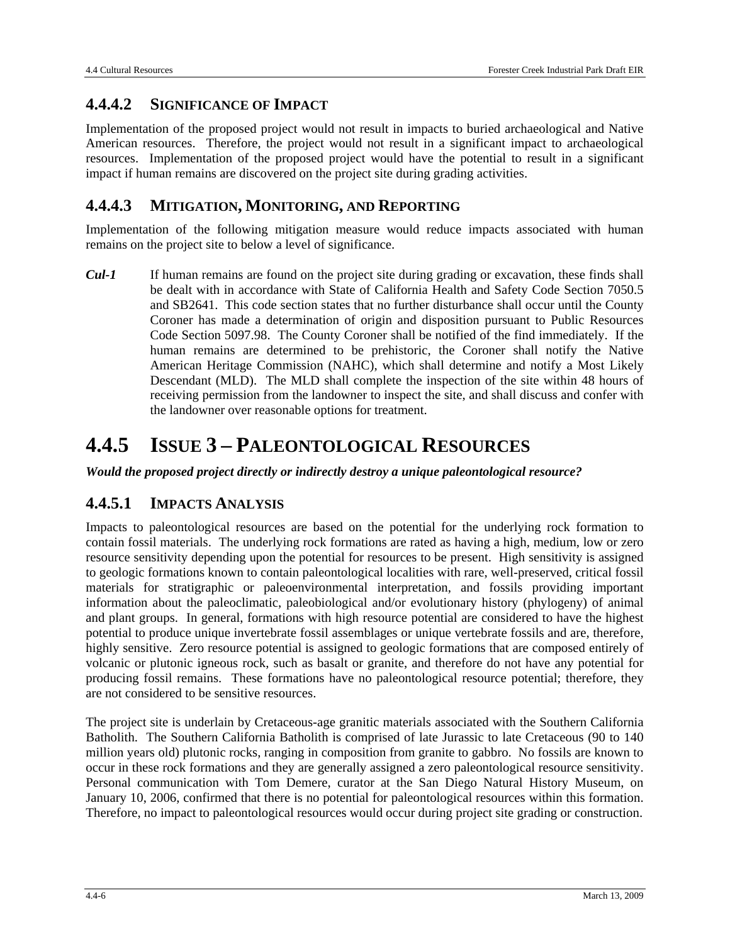#### **4.4.4.2 SIGNIFICANCE OF IMPACT**

Implementation of the proposed project would not result in impacts to buried archaeological and Native American resources. Therefore, the project would not result in a significant impact to archaeological resources. Implementation of the proposed project would have the potential to result in a significant impact if human remains are discovered on the project site during grading activities.

#### **4.4.4.3 MITIGATION, MONITORING, AND REPORTING**

Implementation of the following mitigation measure would reduce impacts associated with human remains on the project site to below a level of significance.

*Cul-1* If human remains are found on the project site during grading or excavation, these finds shall be dealt with in accordance with State of California Health and Safety Code Section 7050.5 and SB2641. This code section states that no further disturbance shall occur until the County Coroner has made a determination of origin and disposition pursuant to Public Resources Code Section 5097.98. The County Coroner shall be notified of the find immediately. If the human remains are determined to be prehistoric, the Coroner shall notify the Native American Heritage Commission (NAHC), which shall determine and notify a Most Likely Descendant (MLD). The MLD shall complete the inspection of the site within 48 hours of receiving permission from the landowner to inspect the site, and shall discuss and confer with the landowner over reasonable options for treatment.

# **4.4.5 ISSUE 3 – PALEONTOLOGICAL RESOURCES**

*Would the proposed project directly or indirectly destroy a unique paleontological resource?* 

#### **4.4.5.1 IMPACTS ANALYSIS**

Impacts to paleontological resources are based on the potential for the underlying rock formation to contain fossil materials. The underlying rock formations are rated as having a high, medium, low or zero resource sensitivity depending upon the potential for resources to be present. High sensitivity is assigned to geologic formations known to contain paleontological localities with rare, well-preserved, critical fossil materials for stratigraphic or paleoenvironmental interpretation, and fossils providing important information about the paleoclimatic, paleobiological and/or evolutionary history (phylogeny) of animal and plant groups. In general, formations with high resource potential are considered to have the highest potential to produce unique invertebrate fossil assemblages or unique vertebrate fossils and are, therefore, highly sensitive. Zero resource potential is assigned to geologic formations that are composed entirely of volcanic or plutonic igneous rock, such as basalt or granite, and therefore do not have any potential for producing fossil remains. These formations have no paleontological resource potential; therefore, they are not considered to be sensitive resources.

The project site is underlain by Cretaceous-age granitic materials associated with the Southern California Batholith. The Southern California Batholith is comprised of late Jurassic to late Cretaceous (90 to 140 million years old) plutonic rocks, ranging in composition from granite to gabbro. No fossils are known to occur in these rock formations and they are generally assigned a zero paleontological resource sensitivity. Personal communication with Tom Demere, curator at the San Diego Natural History Museum, on January 10, 2006, confirmed that there is no potential for paleontological resources within this formation. Therefore, no impact to paleontological resources would occur during project site grading or construction.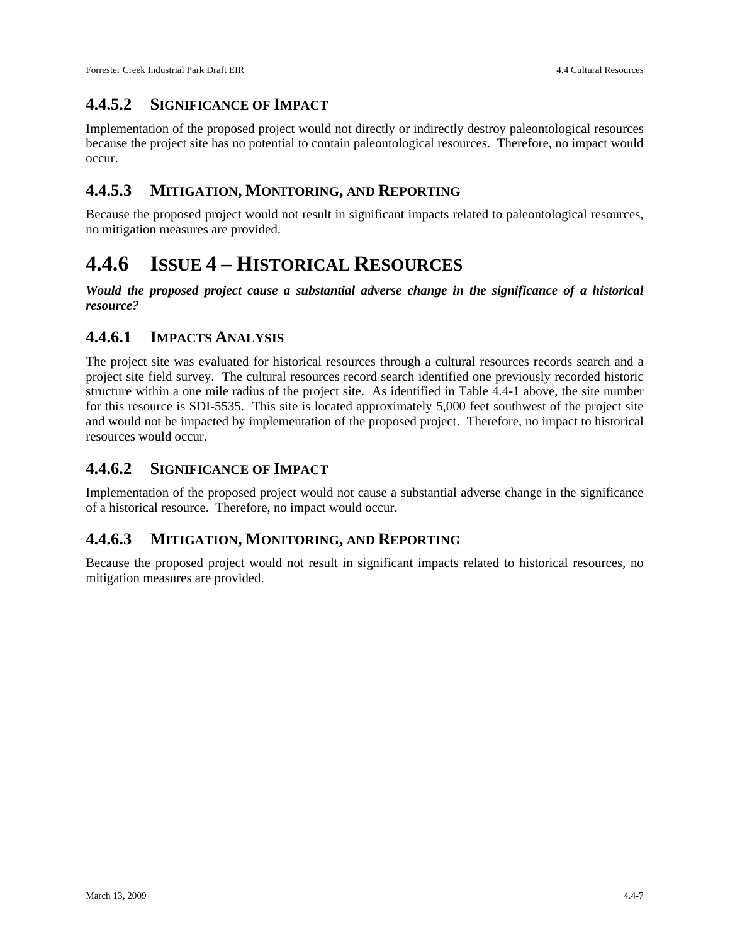### **4.4.5.2 SIGNIFICANCE OF IMPACT**

Implementation of the proposed project would not directly or indirectly destroy paleontological resources because the project site has no potential to contain paleontological resources. Therefore, no impact would occur.

#### **4.4.5.3 MITIGATION, MONITORING, AND REPORTING**

Because the proposed project would not result in significant impacts related to paleontological resources, no mitigation measures are provided.

# **4.4.6 ISSUE 4 – HISTORICAL RESOURCES**

*Would the proposed project cause a substantial adverse change in the significance of a historical resource?* 

### **4.4.6.1 IMPACTS ANALYSIS**

The project site was evaluated for historical resources through a cultural resources records search and a project site field survey. The cultural resources record search identified one previously recorded historic structure within a one mile radius of the project site. As identified in Table 4.4-1 above, the site number for this resource is SDI-5535. This site is located approximately 5,000 feet southwest of the project site and would not be impacted by implementation of the proposed project. Therefore, no impact to historical resources would occur.

# **4.4.6.2 SIGNIFICANCE OF IMPACT**

Implementation of the proposed project would not cause a substantial adverse change in the significance of a historical resource. Therefore, no impact would occur.

#### **4.4.6.3 MITIGATION, MONITORING, AND REPORTING**

Because the proposed project would not result in significant impacts related to historical resources, no mitigation measures are provided.